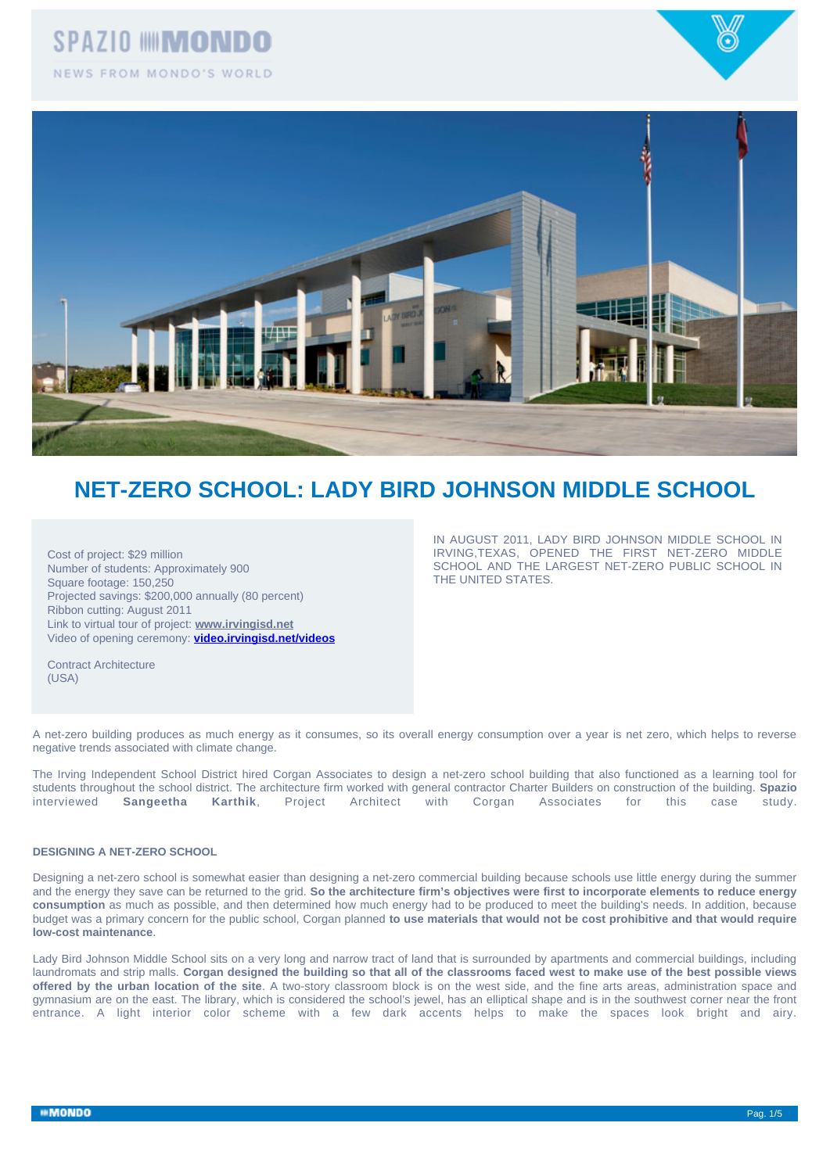# **SPAZIO IIII MONDO**

NEWS FROM MONDO'S WORLD





### **NET-ZERO SCHOOL: LADY BIRD JOHNSON MIDDLE SCHOOL**

Cost of project: \$29 million Number of students: Approximately 900 Square footage: 150,250 Projected savings: \$200,000 annually (80 percent) Ribbon cutting: August 2011 Link to virtual tour of project: **www.irvingisd.net** Video of opening ceremony: **[video.irvingisd.net/videos](http://video.irvingisd.net/videos/iisd/web/ISTV/2010/May/Net%20Zero%20Groundbreaking.wmv)** IN AUGUST 2011, LADY BIRD JOHNSON MIDDLE SCHOOL IN IRVING,TEXAS, OPENED THE FIRST NET-ZERO MIDDLE SCHOOL AND THE LARGEST NET-ZERO PUBLIC SCHOOL IN THE UNITED STATES.

Contract Architecture (USA)

A net-zero building produces as much energy as it consumes, so its overall energy consumption over a year is net zero, which helps to reverse negative trends associated with climate change.

The Irving Independent School District hired Corgan Associates to design a net-zero school building that also functioned as a learning tool for students throughout the school district. The architecture firm worked with general contractor Charter Builders on construction of the building. **Spazio** interviewed **Sangeetha Karthik**, Project Architect with Corgan Associates for this case study.

#### **DESIGNING A NET-ZERO SCHOOL**

Designing a net-zero school is somewhat easier than designing a net-zero commercial building because schools use little energy during the summer and the energy they save can be returned to the grid. **So the architecture firm's objectives were first to incorporate elements to reduce energy consumption** as much as possible, and then determined how much energy had to be produced to meet the building's needs. In addition, because budget was a primary concern for the public school, Corgan planned **to use materials that would not be cost prohibitive and that would require low-cost maintenance**.

Lady Bird Johnson Middle School sits on a very long and narrow tract of land that is surrounded by apartments and commercial buildings, including laundromats and strip malls. **Corgan designed the building so that all of the classrooms faced west to make use of the best possible views offered by the urban location of the site**. A two-story classroom block is on the west side, and the fine arts areas, administration space and gymnasium are on the east. The library, which is considered the school's jewel, has an elliptical shape and is in the southwest corner near the front entrance. A light interior color scheme with a few dark accents helps to make the spaces look bright and airy.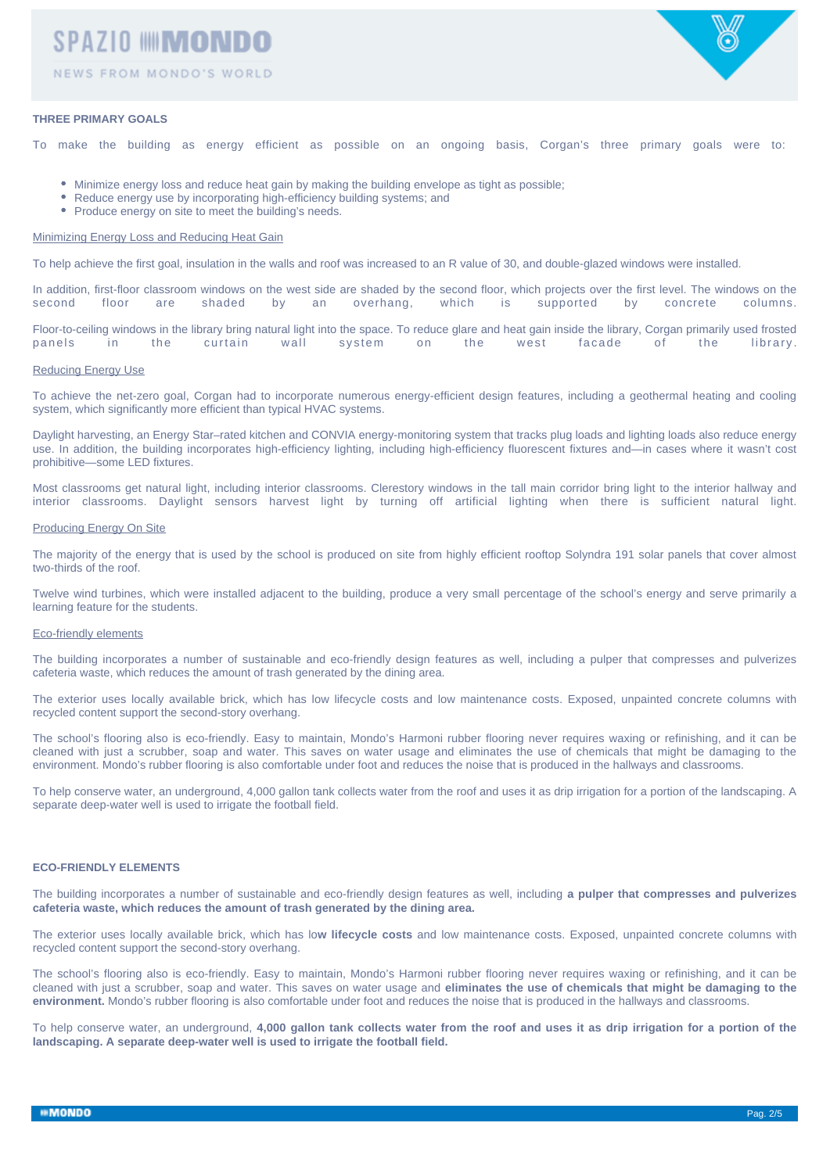## **SPAZIO IIII MONDO**





### **THREE PRIMARY GOALS**

To make the building as energy efficient as possible on an ongoing basis, Corgan's three primary goals were to:

- Minimize energy loss and reduce heat gain by making the building envelope as tight as possible;
- Reduce energy use by incorporating high-efficiency building systems; and
- Produce energy on site to meet the building's needs.

### Minimizing Energy Loss and Reducing Heat Gain

To help achieve the first goal, insulation in the walls and roof was increased to an R value of 30, and double-glazed windows were installed.

In addition, first-floor classroom windows on the west side are shaded by the second floor, which projects over the first level. The windows on the second floor are shaded by an overhang, which is supported by concrete columns.

Floor-to-ceiling windows in the library bring natural light into the space. To reduce glare and heat gain inside the library, Corgan primarily used frosted panels in the curtain wall system on the west facade of the library.

#### Reducing Energy Use

To achieve the net-zero goal, Corgan had to incorporate numerous energy-efficient design features, including a geothermal heating and cooling system, which significantly more efficient than typical HVAC systems.

Daylight harvesting, an Energy Star–rated kitchen and CONVIA energy-monitoring system that tracks plug loads and lighting loads also reduce energy use. In addition, the building incorporates high-efficiency lighting, including high-efficiency fluorescent fixtures and—in cases where it wasn't cost prohibitive—some LED fixtures.

Most classrooms get natural light, including interior classrooms. Clerestory windows in the tall main corridor bring light to the interior hallway and interior classrooms. Daylight sensors harvest light by turning off artificial lighting when there is sufficient natural light.

#### **Producing Energy On Site**

The majority of the energy that is used by the school is produced on site from highly efficient rooftop Solyndra 191 solar panels that cover almost two-thirds of the roof.

Twelve wind turbines, which were installed adjacent to the building, produce a very small percentage of the school's energy and serve primarily a learning feature for the students.

### Eco-friendly elements

The building incorporates a number of sustainable and eco-friendly design features as well, including a pulper that compresses and pulverizes cafeteria waste, which reduces the amount of trash generated by the dining area.

The exterior uses locally available brick, which has low lifecycle costs and low maintenance costs. Exposed, unpainted concrete columns with recycled content support the second-story overhang.

The school's flooring also is eco-friendly. Easy to maintain, Mondo's Harmoni rubber flooring never requires waxing or refinishing, and it can be cleaned with just a scrubber, soap and water. This saves on water usage and eliminates the use of chemicals that might be damaging to the environment. Mondo's rubber flooring is also comfortable under foot and reduces the noise that is produced in the hallways and classrooms.

To help conserve water, an underground, 4,000 gallon tank collects water from the roof and uses it as drip irrigation for a portion of the landscaping. A separate deep-water well is used to irrigate the football field.

#### **ECO-FRIENDLY ELEMENTS**

The building incorporates a number of sustainable and eco-friendly design features as well, including **a pulper that compresses and pulverizes cafeteria waste, which reduces the amount of trash generated by the dining area.**

The exterior uses locally available brick, which has lo**w lifecycle costs** and low maintenance costs. Exposed, unpainted concrete columns with recycled content support the second-story overhang.

The school's flooring also is eco-friendly. Easy to maintain, Mondo's Harmoni rubber flooring never requires waxing or refinishing, and it can be cleaned with just a scrubber, soap and water. This saves on water usage and **eliminates the use of chemicals that might be damaging to the environment.** Mondo's rubber flooring is also comfortable under foot and reduces the noise that is produced in the hallways and classrooms.

To help conserve water, an underground, **4,000 gallon tank collects water from the roof and uses it as drip irrigation for a portion of the landscaping. A separate deep-water well is used to irrigate the football field.**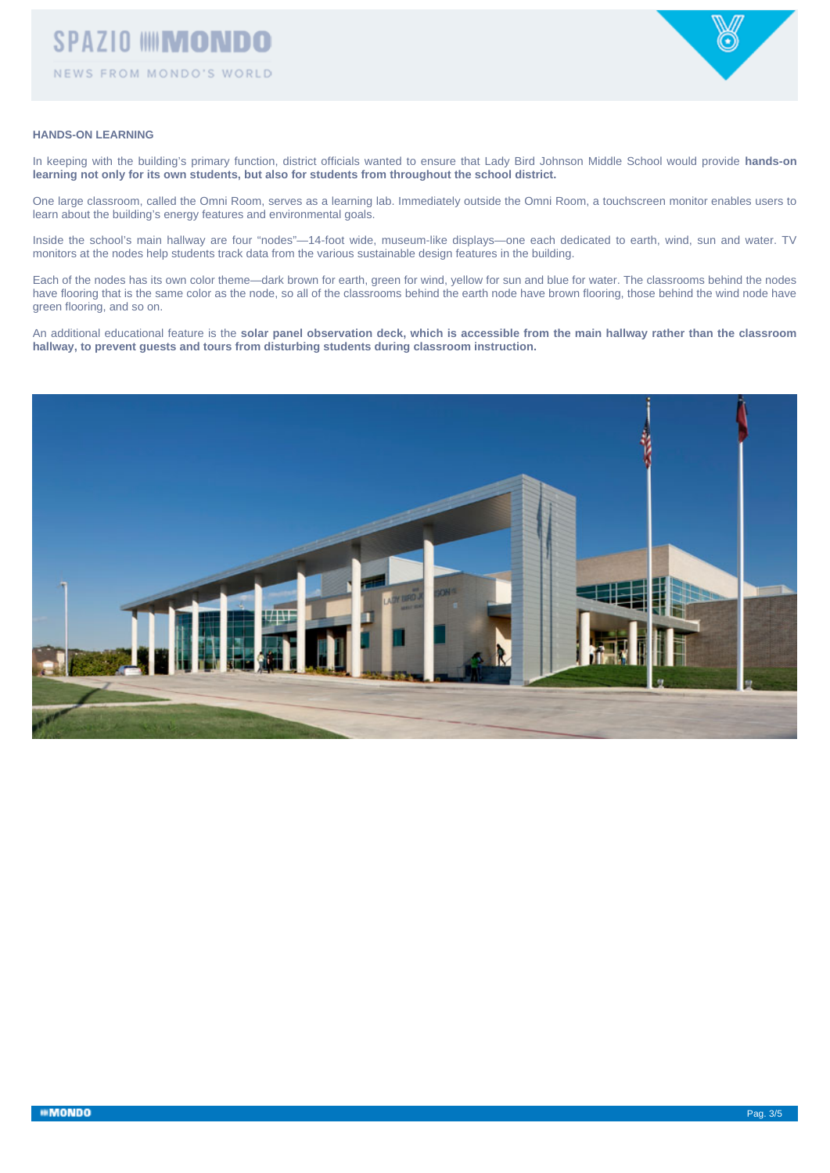# **SPAZIO MIMONDO**

NEWS FROM MONDO'S WORLD



### **HANDS-ON LEARNING**

In keeping with the building's primary function, district officials wanted to ensure that Lady Bird Johnson Middle School would provide **hands-on learning not only for its own students, but also for students from throughout the school district.**

One large classroom, called the Omni Room, serves as a learning lab. Immediately outside the Omni Room, a touchscreen monitor enables users to learn about the building's energy features and environmental goals.

Inside the school's main hallway are four "nodes"—14-foot wide, museum-like displays—one each dedicated to earth, wind, sun and water. TV monitors at the nodes help students track data from the various sustainable design features in the building.

Each of the nodes has its own color theme—dark brown for earth, green for wind, yellow for sun and blue for water. The classrooms behind the nodes have flooring that is the same color as the node, so all of the classrooms behind the earth node have brown flooring, those behind the wind node have green flooring, and so on.

An additional educational feature is the **solar panel observation deck, which is accessible from the main hallway rather than the classroom hallway, to prevent guests and tours from disturbing students during classroom instruction.**

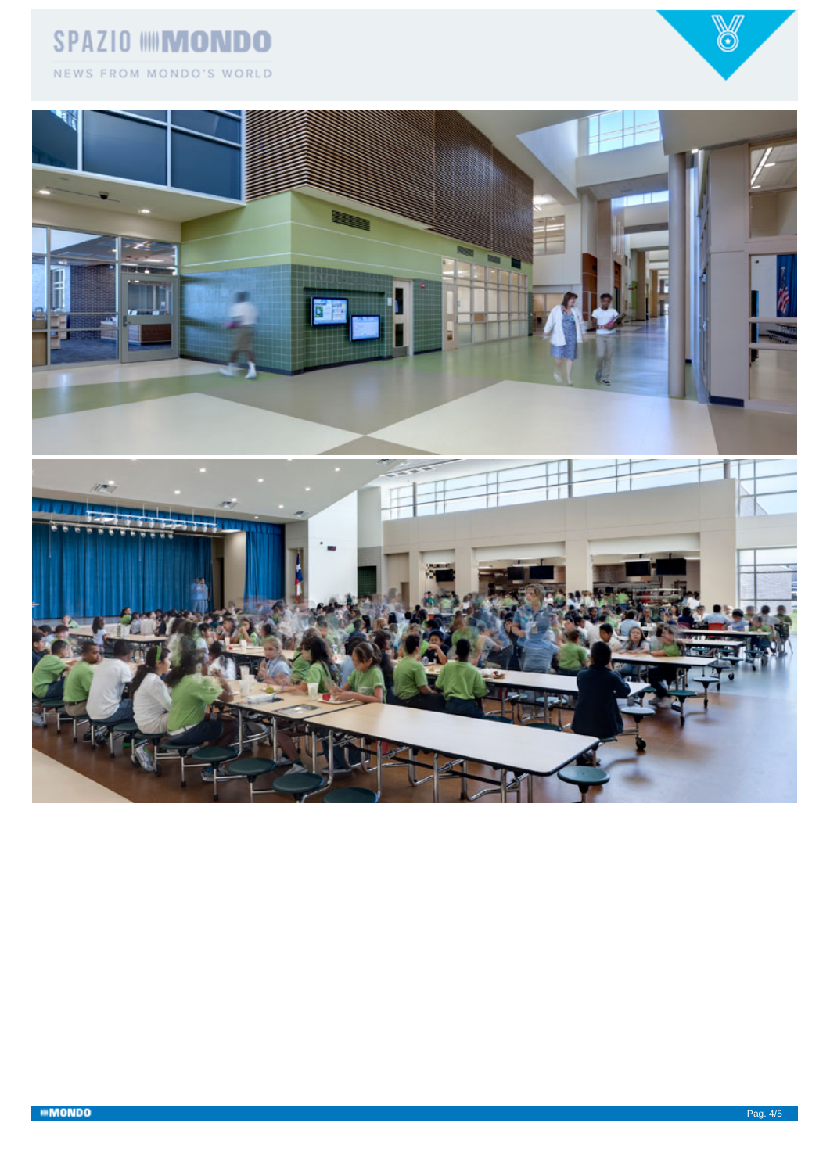# **SPAZIO MIMONDO**

NEWS FROM MONDO'S WORLD



 $\mathbb{Y}$